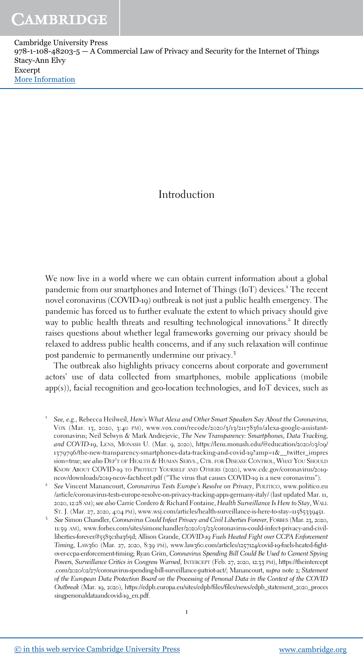# Introduction

We now live in a world where we can obtain current information about a global pandemic from our smartphones and Internet of Things (IoT) devices.<sup>1</sup> The recent novel coronavirus (COVID-19) outbreak is not just a public health emergency. The pandemic has forced us to further evaluate the extent to which privacy should give way to public health threats and resulting technological innovations.<sup>2</sup> It directly raises questions about whether legal frameworks governing our privacy should be relaxed to address public health concerns, and if any such relaxation will continue post pandemic to permanently undermine our privacy.<sup>3</sup>

The outbreak also highlights privacy concerns about corporate and government actors' use of data collected from smartphones, mobile applications (mobile app(s)), facial recognition and geo-location technologies, and IoT devices, such as

1 See, e.g., Rebecca Heilweil, Here's What Alexa and Other Smart Speakers Say About the Coronavirus, VOX (Mar. 13, 2020, 3:40 PM), www.vox.com/recode/2020/3/13/21178361/alexa-google-assistantcoronavirus; Neil Selwyn & Mark Andrejevic, The New Transparency: Smartphones, Data Tracking, and COVID-19, LENS, MONASH U. (Mar. 9, 2020), https://lens.monash.edu/@education/2020/03/09/ 1379796/the-new-transparency-smartphones-data-tracking-and-covid-19?amp=1&\_\_twitter\_impres sion=true; see also DEP'T OF HEALTH & HUMAN SERVS., CTR. FOR DISEASE CONTROL, WHAT YOU SHOULD KNOW ABOUT COVID-19 TO PROTECT YOURSELF AND OTHERS (2020), www.cdc.gov/coronavirus/2019ncov/downloads/2019-ncov-factsheet.pdf ("The virus that causes COVID-19 is a new coronavirus").

<sup>2</sup> See Vincent Manancourt, Coronavirus Tests Europe's Resolve on Privacy, POLITICO, www.politico.eu /article/coronavirus-tests-europe-resolve-on-privacy-tracking-apps-germany-italy/ (last updated Mar. 11, 2020, 12:28 AM); see also Carrie Cordero & Richard Fontaine, Health Surveillance Is Here to Stay, WALL ST. J. (Mar. 27, 2020, 4:04 PM), www.wsj.com/articles/health-surveillance-is-here-to-stay–11585339451.

<sup>3</sup> See Simon Chandler, Coronavirus Could Infect Privacy and Civil Liberties Forever, FORBES (Mar. 23, 2020, 11:59 AM), www.forbes.com/sites/simonchandler/2020/03/23/coronavirus-could-infect-privacy-and-civilliberties-forever/#5583c1ba365d; Allison Grande, COVID-19 Fuels Heated Fight over CCPA Enforcement Timing, LAW360 (Mar. 27, 2020, 8:39 PM), www.law360.com/articles/1257124/covid-19-fuels-heated-fightover-ccpa-enforcement-timing; Ryan Grim, Coronavirus Spending Bill Could Be Used to Cement Spying Powers, Surveillance Critics in Congress Warned, INTERCEPT (Feb. 27, 2020, 12:33 PM), https://theintercept .com/2020/02/27/coronavirus-spending-bill-surveillance-patriot-act/; Manancourt, supra note 2; Statement of the European Data Protection Board on the Processing of Personal Data in the Context of the COVID Outbreak (Mar. 19, 2020), https://edpb.europa.eu/sites/edpb/files/files/news/edpb\_statement\_2020\_proces singpersonaldataandcovid-19\_en.pdf.

1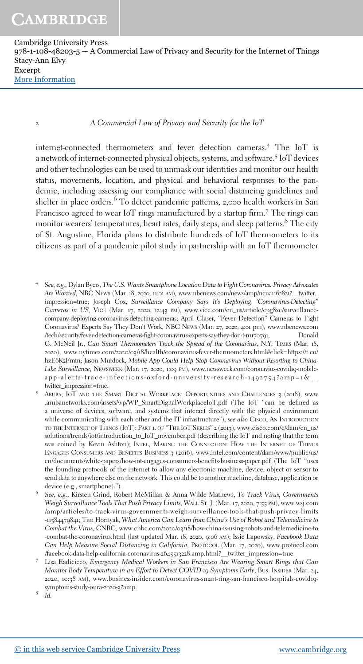2 A Commercial Law of Privacy and Security for the IoT

internet-connected thermometers and fever detection cameras.<sup>4</sup> The IoT is a network of internet-connected physical objects, systems, and software.<sup>5</sup> IoT devices and other technologies can be used to unmask our identities and monitor our health status, movements, location, and physical and behavioral responses to the pandemic, including assessing our compliance with social distancing guidelines and shelter in place orders.<sup>6</sup> To detect pandemic patterns, 2,000 health workers in San Francisco agreed to wear IoT rings manufactured by a startup firm.<sup>7</sup> The rings can monitor wearers' temperatures, heart rates, daily steps, and sleep patterns.<sup>8</sup> The city of St. Augustine, Florida plans to distribute hundreds of IoT thermometers to its citizens as part of a pandemic pilot study in partnership with an IoT thermometer

- 4 See, e.g., Dylan Byers, The U.S. Wants Smartphone Location Data to Fight Coronavirus. Privacy Advocates Are Worried, NBC NEWS (Mar. 18, 2020, 11:01 AM), www.nbcnews.com/news/amp/ncna1162821?\_twitter\_ impression=true; Joseph Cox, Surveillance Company Says It's Deploying "Coronavirus-Detecting" Cameras in US, VICE (Mar. 17, 2020, 12:43 PM), www.vice.com/en\_us/article/epg8xe/surveillancecompany-deploying-coronavirus-detecting-cameras; April Glaser, "Fever Detection" Cameras to Fight Coronavirus? Experts Say They Don't Work, NBC NEWS (Mar. 27, 2020, 4:01 pm), www.nbcnews.com /tech/security/fever-detection-cameras-fight-coronavirus-experts-say-they-don-t-n1170791, Donald G. McNeil Jr., Can Smart Thermometers Track the Spread of the Coronavirus, N.Y. TIMES (Mar. 18, 2020), www.nytimes.com/2020/03/18/health/coronavirus-fever-thermometers.html#click=https://t.co/ hzE6K2Fmtn; Jason Murdock, Mobile App Could Help Stop Coronavirus Without Resorting to China-Like Surveillance, NEWSWEEK (Mar. 17, 2020, 1:09 PM), www.newsweek.com/coronavius-covid19-mobile $app-alerts-trace-infection s-oxford-university-research-1492754?$ amp= $1 < -$ twitter\_impression=true.
- 5 ARUBA, IOT AND THE SMART DIGITAL WORKPLACE: OPPORTUNITIES AND CHALLENGES 3 (2018), www .arubanetworks.com/assets/wp/WP\_SmartDigitalWorkplaceIoT.pdf (The IoT "can be defined as a universe of devices, software, and systems that interact directly with the physical environment while communicating with each other and the IT infrastructure"); see also CISCO, AN INTRODUCTION TO THE INTERNET OF THINGS (IOT): PART 1. OF "THE IOT SERIES" 2 (2013), www.cisco.com/c/dam/en\_us/ solutions/trends/iot/introduction\_to\_IoT\_november.pdf (describing the IoT and noting that the term was coined by Kevin Ashton); INTEL, MAKING THE CONNECTION: HOW THE INTERNET OF THINGS ENGAGES CONSUMERS AND BENEFITS BUSINESS 3 (2016), www.intel.com/content/dam/www/public/us/ en/documents/white-papers/how-iot-engages-consumers-benefits-business-paper.pdf (The IoT "uses the founding protocols of the internet to allow any electronic machine, device, object or sensor to send data to anywhere else on the network. This could be to another machine, database, application or device (e.g., smartphone).").
- <sup>6</sup> See, e.g., Kirsten Grind, Robert McMillan & Anna Wilde Mathews, To Track Virus, Governments Weigh Surveillance Tools That Push Privacy Limits, WALL ST. J. (Mar. 17, 2020, 7:55 PM), www.wsj.com /amp/articles/to-track-virus-governments-weigh-surveillance-tools-that-push-privacy-limits -11584479841; Tim Hornyak, What America Can Learn from China's Use of Robot and Telemedicine to Combat the Virus, CNBC, www.cnbc.com/2020/03/18/how-china-is-using-robots-and-telemedicine-to -combat-the-coronavirus.html (last updated Mar. 18, 2020, 9:06 AM); Issie Lapowsky, Facebook Data Can Help Measure Social Distancing in California, PROTOCOL (Mar. 17, 2020), www.protocol.com /facebook-data-help-california-coronavirus-2645513228.amp.html?\_\_twitter\_impression=true.
- 7 Lisa Eadicicco, Emergency Medical Workers in San Francisco Are Wearing Smart Rings that Can Monitor Body Temperature in an Effort to Detect COVID-19 Symptoms Early, BUS. INSIDER (Mar. 24, 2020, 10:38 AM), www.businessinsider.com/coronavirus-smart-ring-san-francisco-hospitals-covid19 symptoms-study-oura-2020-3?amp.
- 8 Id.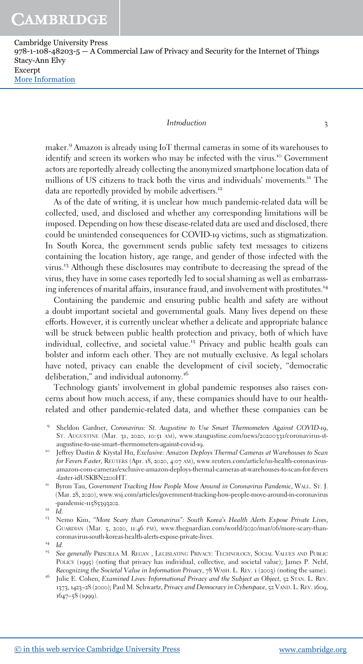#### Introduction 3

maker.<sup>9</sup> Amazon is already using IoT thermal cameras in some of its warehouses to identify and screen its workers who may be infected with the virus.<sup>10</sup> Government actors are reportedly already collecting the anonymized smartphone location data of millions of US citizens to track both the virus and individuals' movements.<sup>11</sup> The data are reportedly provided by mobile advertisers.<sup>12</sup>

As of the date of writing, it is unclear how much pandemic-related data will be collected, used, and disclosed and whether any corresponding limitations will be imposed. Depending on how these disease-related data are used and disclosed, there could be unintended consequences for COVID-19 victims, such as stigmatization. In South Korea, the government sends public safety text messages to citizens containing the location history, age range, and gender of those infected with the virus.<sup>13</sup> Although these disclosures may contribute to decreasing the spread of the virus, they have in some cases reportedly led to social shaming as well as embarrassing inferences of marital affairs, insurance fraud, and involvement with prostitutes.<sup>14</sup>

Containing the pandemic and ensuring public health and safety are without a doubt important societal and governmental goals. Many lives depend on these efforts. However, it is currently unclear whether a delicate and appropriate balance will be struck between public health protection and privacy, both of which have individual, collective, and societal value.<sup>15</sup> Privacy and public health goals can bolster and inform each other. They are not mutually exclusive. As legal scholars have noted, privacy can enable the development of civil society, "democratic deliberation," and individual autonomy.<sup>16</sup>

Technology giants' involvement in global pandemic responses also raises concerns about how much access, if any, these companies should have to our healthrelated and other pandemic-related data, and whether these companies can be

- 9 Sheldon Gardner, Coronavirus: St. Augustine to Use Smart Thermometers Against COVID-19, ST. AUGUSTINE (Mar. 31, 2020, 10:51 AM), www.staugustine.com/news/20200331/coronavirus-staugustine-to-use-smart–thermometers-against-covid-19.
- <sup>10</sup> Jeffrey Dastin & Krystal Hu, Exclusive: Amazon Deploys Thermal Cameras at Warehouses to Scan for Fevers Faster, REUTERS (Apr. 18, 2020, 4:07 AM), www.reuters.com/article/us-health-coronavirusamazon-com-cameras/exclusive-amazon-deploys-thermal-cameras-at-warehouses-to-scan-for-fevers -faster-idUSKBN2200HT.
- <sup>11</sup> Byron Tau, Government Tracking How People Move Around in Coronavirus Pandemic, WALL. ST. J. (Mar. 28, 2020), www.wsj.com/articles/government-tracking-how-people-move-around-in-coronavirus -pandemic-11585393202.
- $12$  Id.
- <sup>13</sup> Nemo Kim, "More Scary than Coronavirus": South Korea's Health Alerts Expose Private Lives, GUARDIAN (Mar. 5, 2020, 11:46 PM), www.theguardian.com/world/2020/mar/06/more-scary-thancoronavirus-south-koreas-health-alerts-expose-private-lives.

- See generally PRISCILLA M. REGAN, LEGISLATING PRIVACY: TECHNOLOGY, SOCIAL VALUES AND PUBLIC POLICY (1995) (noting that privacy has individual, collective, and societal value); James P. Nehf, Recognizing the Societal Value in Information Privacy, 78 WASH. L. REV. 1 (2003) (noting the same).
- <sup>16</sup> Julie E. Cohen, Examined Lives: Informational Privacy and the Subject as Object, 52 STAN. L. REV. 1373, 1423-28 (2000); Paul M. Schwartz, Privacy and Democracy in Cyberspace, 52 VAND. L. REV. 1609, 1647–58 (1999).

<sup>&</sup>lt;sup>14</sup> Id.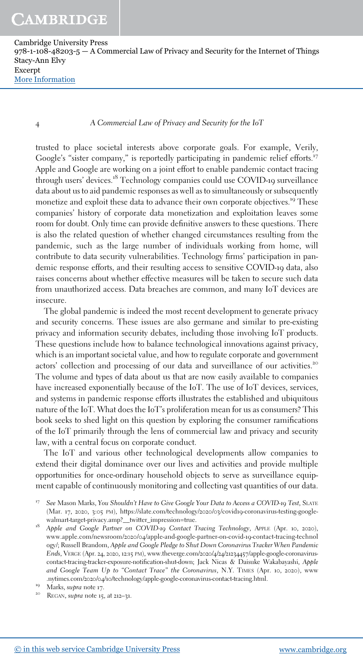4 A Commercial Law of Privacy and Security for the IoT

trusted to place societal interests above corporate goals. For example, Verily, Google's "sister company," is reportedly participating in pandemic relief efforts.<sup>17</sup> Apple and Google are working on a joint effort to enable pandemic contact tracing through users' devices.<sup>18</sup> Technology companies could use COVID-19 surveillance data about us to aid pandemic responses as well as to simultaneously or subsequently monetize and exploit these data to advance their own corporate objectives.<sup>19</sup> These companies' history of corporate data monetization and exploitation leaves some room for doubt. Only time can provide definitive answers to these questions. There is also the related question of whether changed circumstances resulting from the pandemic, such as the large number of individuals working from home, will contribute to data security vulnerabilities. Technology firms' participation in pandemic response efforts, and their resulting access to sensitive COVID-19 data, also raises concerns about whether effective measures will be taken to secure such data from unauthorized access. Data breaches are common, and many IoT devices are insecure.

The global pandemic is indeed the most recent development to generate privacy and security concerns. These issues are also germane and similar to pre-existing privacy and information security debates, including those involving IoT products. These questions include how to balance technological innovations against privacy, which is an important societal value, and how to regulate corporate and government actors' collection and processing of our data and surveillance of our activities.<sup>20</sup> The volume and types of data about us that are now easily available to companies have increased exponentially because of the IoT. The use of IoT devices, services, and systems in pandemic response efforts illustrates the established and ubiquitous nature of the IoT. What does the IoT's proliferation mean for us as consumers? This book seeks to shed light on this question by exploring the consumer ramifications of the IoT primarily through the lens of commercial law and privacy and security law, with a central focus on corporate conduct.

The IoT and various other technological developments allow companies to extend their digital dominance over our lives and activities and provide multiple opportunities for once-ordinary household objects to serve as surveillance equipment capable of continuously monitoring and collecting vast quantities of our data.

- See Mason Marks, You Shouldn't Have to Give Google Your Data to Access a COVID-19 Test, SLATE (Mar. 17, 2020, 3:05 PM), https://slate.com/technology/2020/03/covid19-coronavirus-testing-googlewalmart-target-privacy.amp?\_\_twitter\_impression=true.
- <sup>18</sup> Apple and Google Partner on COVID-19 Contact Tracing Technology, APPLE (Apr. 10, 2020), www.apple.com/newsroom/2020/04/apple-and-google-partner-on-covid-19-contact-tracing-technol ogy/; Russell Brandom, Apple and Google Pledge to Shut Down Coronavirus Tracker When Pandemic Ends, VERGE (Apr. 24, 2020, 12:15 PM), www.theverge.com/2020/4/24/21234457/apple-google-coronaviruscontact-tracing-tracker-exposure-notification-shut-down; Jack Nicas & Daisuke Wakabayashi, Apple and Google Team Up to "Contact Trace" the Coronavirus, N.Y. TIMES (Apr. 10, 2020), www .nytimes.com/2020/04/10/technology/apple-google-coronavirus-contact-tracing.html.

<sup>20</sup> REGAN, *supra* note 15, at  $212-31$ .

<sup>&</sup>lt;sup>19</sup> Marks, *supra* note 17.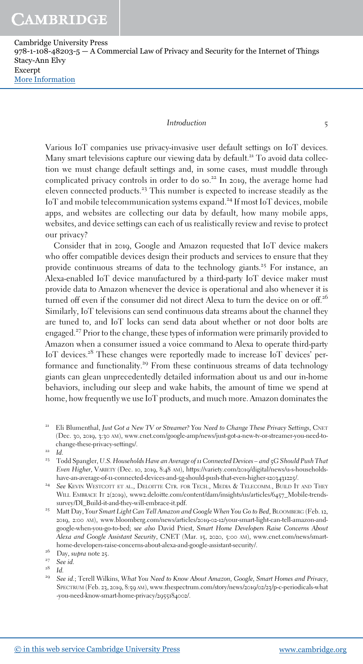### Introduction 5

Various IoT companies use privacy-invasive user default settings on IoT devices. Many smart televisions capture our viewing data by default.<sup>21</sup> To avoid data collection we must change default settings and, in some cases, must muddle through complicated privacy controls in order to do so. $^{22}$  In 2019, the average home had eleven connected products.<sup>23</sup> This number is expected to increase steadily as the IoT and mobile telecommunication systems expand.<sup>24</sup> If most IoT devices, mobile apps, and websites are collecting our data by default, how many mobile apps, websites, and device settings can each of us realistically review and revise to protect our privacy?

Consider that in 2019, Google and Amazon requested that IoT device makers who offer compatible devices design their products and services to ensure that they provide continuous streams of data to the technology giants.<sup>25</sup> For instance, an Alexa-enabled IoT device manufactured by a third-party IoT device maker must provide data to Amazon whenever the device is operational and also whenever it is turned off even if the consumer did not direct Alexa to turn the device on or off.<sup>26</sup> Similarly, IoT televisions can send continuous data streams about the channel they are tuned to, and IoT locks can send data about whether or not door bolts are engaged.<sup>27</sup> Prior to the change, these types of information were primarily provided to Amazon when a consumer issued a voice command to Alexa to operate third-party IoT devices.<sup>28</sup> These changes were reportedly made to increase IoT devices' performance and functionality.<sup>29</sup> From these continuous streams of data technology giants can glean unprecedentedly detailed information about us and our in-home behaviors, including our sleep and wake habits, the amount of time we spend at home, how frequently we use IoT products, and much more. Amazon dominates the

<sup>21</sup> Eli Blumenthal, Just Got a New TV or Streamer? You Need to Change These Privacy Settings, CNET (Dec. 30, 2019, 3:30 AM), www.cnet.com/google-amp/news/just-got-a-new-tv-or-streamer-you-need-tochange-these-privacy-settings/.

<sup>&</sup>lt;sup>22</sup> Id.<br><sup>23</sup> To

<sup>23</sup> Todd Spangler, U.S. Households Have an Average of 11 Connected Devices – and 5G Should Push That Even Higher, VARIETY (Dec. 10, 2019, 8:48 AM), https://variety.com/2019/digital/news/u-s-householdshave-an-average-of-11-connected-devices-and-5g-should-push-that-even-higher-1203431225/.

<sup>&</sup>lt;sup>24</sup> See KEVIN WESTCOTT ET AL., DELOITTE CTR. FOR TECH., MEDIA & TELECOMM., BUILD IT AND THEY WILL EMBRACE I<sup>T</sup> 2(2019), www2.deloitte.com/content/dam/insights/us/articles/6457\_Mobile-trendssurvey/DI\_Build-it-and-they-will-embrace-it.pdf.

<sup>&</sup>lt;sup>25</sup> Matt Day, Your Smart Light Can Tell Amazon and Google When You Go to Bed, BLOOMBERG (Feb. 12, 2019, 2:00 AM), www.bloomberg.com/news/articles/2019-02-12/your-smart-light-can-tell-amazon-andgoogle-when-you-go-to-bed; see also David Priest, Smart Home Developers Raise Concerns About Alexa and Google Assistant Security, CNET (Mar. 15, 2020, 5:00 AM), www.cnet.com/news/smarthome-developers-raise-concerns-about-alexa-and-google-assistant-security/.

 $26$  Day, supra note 25.

 $27$  See id.

 $28$  Id.

<sup>&</sup>lt;sup>29</sup> See id.; Terell Wilkins, What You Need to Know About Amazon, Google, Smart Homes and Privacy, SPECTRUM (Feb. 23, 2019, 8:59 AM), www.thespectrum.com/story/news/2019/02/23/p-c-periodicals-what -you-need-know-smart-home-privacy/2955184002/.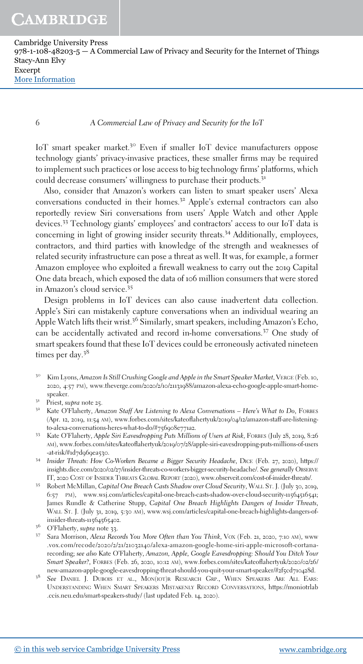6 A Commercial Law of Privacy and Security for the IoT

IoT smart speaker market.<sup>30</sup> Even if smaller IoT device manufacturers oppose technology giants' privacy-invasive practices, these smaller firms may be required to implement such practices or lose access to big technology firms' platforms, which could decrease consumers' willingness to purchase their products.<sup>31</sup>

Also, consider that Amazon's workers can listen to smart speaker users' Alexa conversations conducted in their homes.<sup>32</sup> Apple's external contractors can also reportedly review Siri conversations from users' Apple Watch and other Apple devices.<sup>33</sup> Technology giants' employees' and contractors' access to our IoT data is concerning in light of growing insider security threats.<sup>34</sup> Additionally, employees, contractors, and third parties with knowledge of the strength and weaknesses of related security infrastructure can pose a threat as well. It was, for example, a former Amazon employee who exploited a firewall weakness to carry out the 2019 Capital One data breach, which exposed the data of 106 million consumers that were stored in Amazon's cloud service.<sup>35</sup>

Design problems in IoT devices can also cause inadvertent data collection. Apple's Siri can mistakenly capture conversations when an individual wearing an Apple Watch lifts their wrist.<sup>36</sup> Similarly, smart speakers, including Amazon's Echo, can be accidentally activated and record in-home conversations.<sup>37</sup> One study of smart speakers found that these IoT devices could be erroneously activated nineteen times per day.<sup>38</sup>

- <sup>30</sup> Kim Lyons, Amazon Is Still Crushing Google and Apple in the Smart Speaker Market, VERGE (Feb. 10, 2020, 4:57 PM), www.theverge.com/2020/2/10/21131988/amazon-alexa-echo-google-apple-smart-homespeaker.
- $3<sup>1</sup>$  Priest, supra note 25.
- <sup>32</sup> Kate O'Flaherty, Amazon Staff Are Listening to Alexa Conversations Here's What to Do, FORBES (Apr. 12, 2019, 11:54 AM), www.forbes.com/sites/kateoflahertyuk/2019/04/12/amazon-staff-are-listeningto-alexa-conversations-heres-what-to-do/#756908e771a2.
- <sup>33</sup> Kate O'Flaherty, Apple Siri Eavesdropping Puts Millions of Users at Risk, FORBES (July 28, 2019, 8:26 AM), www.forbes.com/sites/kateoflahertyuk/2019/07/28/apple-siri-eavesdropping-puts-millions-of-users -at-risk/#1d7d969ea530.
- <sup>34</sup> Insider Threats: How Co-Workers Became a Bigger Security Headache, DICE (Feb. 27, 2020), https:// insights.dice.com/2020/02/27/insider-threats-co-workers-bigger-security-headache/. See generally OBSERVE IT, 2020 COST OF INSIDER THREATS GLOBAL REPORT (2020), www.observeit.com/cost-of-insider-threats/.
- 35 Robert McMillan, Capital One Breach Casts Shadow over Cloud Security, WALL ST. J. (July 30, 2019, 6:57 PM), www.wsj.com/articles/capital-one-breach-casts-shadow-over-cloud-security-11564516541; James Rundle & Catherine Stupp, Capital One Breach Highlights Dangers of Insider Threats, WALL ST. J. (July 31, 2019, 5:30 AM), www.wsj.com/articles/capital-one-breach-highlights-dangers-ofinsider-threats-11564565402.
- $^{36}$  O'Flaherty, supra note 33.
- Sara Morrison, Alexa Records You More Often than You Think, VOX (Feb. 21, 2020, 7:10 AM), www .vox.com/recode/2020/2/21/21032140/alexa-amazon-google-home-siri-apple-microsoft-cortanarecording; see also Kate O'Flaherty, Amazon, Apple, Google Eavesdropping: Should You Ditch Your Smart Speaker?, FORBES (Feb. 26, 2020, 10:12 AM), www.forbes.com/sites/kateoflahertyuk/2020/02/26/ new-amazon-apple-google-eavesdropping-threat-should-you-quit-your-smart-speaker/#2f5cd710428d.
- <sup>38</sup> See DANIEL J. DUBOIS ET AL., MON(IOT)R RESEARCH GRP., WHEN SPEAKERS ARE ALL EARS: UNDERSTANDING WHEN SMART SPEAKERS MISTAKENLY RECORD CONVERSATIONS, https://moniotrlab .ccis.neu.edu/smart-speakers-study/ (last updated Feb. 14, 2020).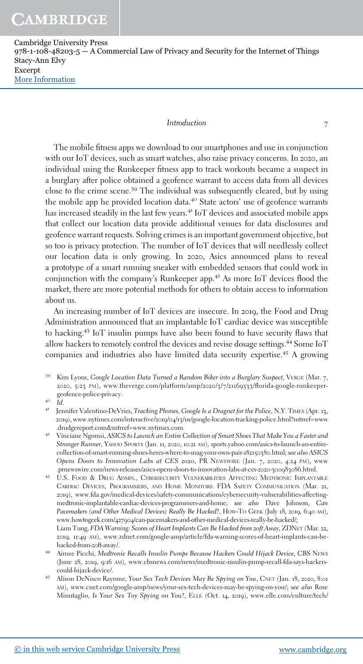## Introduction 7

The mobile fitness apps we download to our smartphones and use in conjunction with our IoT devices, such as smart watches, also raise privacy concerns. In 2020, an individual using the Runkeeper fitness app to track workouts became a suspect in a burglary after police obtained a geofence warrant to access data from all devices close to the crime scene.<sup>39</sup> The individual was subsequently cleared, but by using the mobile app he provided location data. $4^\circ$  State actors' use of geofence warrants has increased steadily in the last few years.<sup>41</sup> IoT devices and associated mobile apps that collect our location data provide additional venues for data disclosures and geofence warrant requests. Solving crimes is an important government objective, but so too is privacy protection. The number of IoT devices that will needlessly collect our location data is only growing. In 2020, Asics announced plans to reveal a prototype of a smart running sneaker with embedded sensors that could work in conjunction with the company's Runkeeper app. $42$  As more IoT devices flood the market, there are more potential methods for others to obtain access to information about us.

An increasing number of IoT devices are insecure. In 2019, the Food and Drug Administration announced that an implantable IoT cardiac device was susceptible to hacking.<sup>43</sup> IoT insulin pumps have also been found to have security flaws that allow hackers to remotely control the devices and revise dosage settings.<sup>44</sup> Some IoT companies and industries also have limited data security expertise.<sup>45</sup> A growing

- <sup>39</sup> Kim Lyons, Google Location Data Turned a Random Biker into a Burglary Suspect, VERGE (Mar. 7, 2020, 5:23 PM), www.theverge.com/platform/amp/2020/3/7/21169533/florida-google-runkeepergeofence-police-privacy.
- $4^\circ$  *Id.*
- <sup>41</sup> Jennifer Valentino-DeVries, Tracking Phones, Google Is a Dragnet for the Police, N.Y. TIMES (Apr. 13, 2019), www.nytimes.com/interactive/2019/04/13/us/google-location-tracking-police.html?mtrref=www .drudgereport.com&mtrref=www.nytimes.com.
- <sup>42</sup> Vinciane Ngomsi, ASICS to Launch an Entire Collection of Smart Shoes That Make You a Faster and Stronger Runner, YAHOO SPORTS (Jan. 11, 2020, 10:21 AM), sports.yahoo.com/asics-to-launch-an-entirecollection-of-smart-running-shoes-heres-where-to-snag-your-own-pair-182150380.html; see also ASICS Opens Doors to Innovation Labs at CES 2020, PR NEWSWIRE (Jan. 7, 2020, 4:24 PM), www .prnewswire.com/news-releases/asics-opens-doors-to-innovation-labs-at-ces-2020-300983086.html.
- <sup>43</sup> U.S. FOOD & DRUG ADMIN., CYBERSECURITY VULNERABILITIES AFFECTING MEDTRONIC IMPLANTABLE CARDIAC DEVICES, PROGRAMMERS, AND HOME MONITORS: FDA SAFETY COMMUNICATION (Mar. 21, 2019), www.fda.gov/medical-devices/safety-communications/cybersecurity-vulnerabilities-affectingmedtronic-implantable-cardiac-devices-programmers-and-home; see also Dave Johnson, Can Pacemakers (and Other Medical Devices) Really Be Hacked?, HOW-T<sup>O</sup> GEEK (July 18, 2019, 6:40 AM), www.howtogeek.com/427904/can-pacemakers-and-other-medical-devices-really-be-hacked/; Liam Tung, FDA Warning: Scores of Heart Implants Can Be Hacked from 20ft Away, ZDNET (Mar. 22,

2019, 11:49 AM), www.zdnet.com/google-amp/article/fda-warning-scores-of-heart-implants-can-behacked-from-20ft-away/. Aimee Picchi, Medtronic Recalls Insulin Pumps Because Hackers Could Hijack Device, CBS NEws

- (June 28, 2019, 9:16 AM), www.cbsnews.com/news/medtronic-insulin-pump-recall-fda-says-hackerscould-hijack-device/.
- <sup>45</sup> Alison DeNisco Rayome, Your Sex Tech Devices May Be Spying on You, CNET (Jan. 18, 2020, 8:01 AM), www.cnet.com/google-amp/news/your-sex-tech-devices-may-be-spying-on-you/; see also Rose Minutaglio, Is Your Sex Toy Spying on You?, ELLE (Oct. 14, 2019), www.elle.com/culture/tech/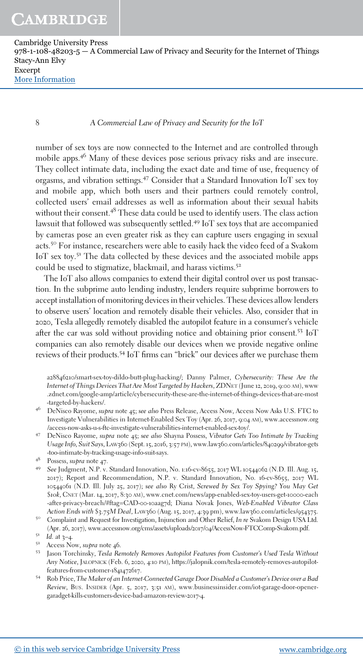8 A Commercial Law of Privacy and Security for the IoT

number of sex toys are now connected to the Internet and are controlled through mobile apps.<sup>46</sup> Many of these devices pose serious privacy risks and are insecure. They collect intimate data, including the exact date and time of use, frequency of orgasms, and vibration settings.<sup>47</sup> Consider that a Standard Innovation IoT sex toy and mobile app, which both users and their partners could remotely control, collected users' email addresses as well as information about their sexual habits without their consent.<sup>48</sup> These data could be used to identify users. The class action lawsuit that followed was subsequently settled.<sup>49</sup> IoT sex toys that are accompanied by cameras pose an even greater risk as they can capture users engaging in sexual acts.<sup>50</sup> For instance, researchers were able to easily hack the video feed of a Svakom IoT sex toy.<sup>51</sup> The data collected by these devices and the associated mobile apps could be used to stigmatize, blackmail, and harass victims.<sup>52</sup>

The IoT also allows companies to extend their digital control over us post transaction. In the subprime auto lending industry, lenders require subprime borrowers to accept installation of monitoring devices in their vehicles. These devices allow lenders to observe users' location and remotely disable their vehicles. Also, consider that in 2020, Tesla allegedly remotely disabled the autopilot feature in a consumer's vehicle after the car was sold without providing notice and obtaining prior consent.<sup>53</sup> IoT companies can also remotely disable our devices when we provide negative online reviews of their products.<sup>54</sup> IoT firms can "brick" our devices after we purchase them

a28846210/smart-sex-toy-dildo-butt-plug-hacking/; Danny Palmer, Cybersecurity: These Are the Internet of Things Devices That Are Most Targeted by Hackers, ZDNET (June 12, 2019, 9:00 AM), www .zdnet.com/google-amp/article/cybersecurity-these-are-the-internet-of-things-devices-that-are-most -targeted-by-hackers/.

- <sup>46</sup> DeNisco Rayome, supra note 45; see also Press Release, Access Now, Access Now Asks U.S. FTC to Investigate Vulnerabilities in Internet-Enabled Sex Toy (Apr. 26, 2017, 9:04 AM), www.accessnow.org /access-now-asks-u-s-ftc-investigate-vulnerabilities-internet-enabled-sex-toy/.
- <sup>47</sup> DeNisco Rayome, supra note 45; see also Shayna Possess, Vibrator Gets Too Intimate by Tracking Usage Info, Suit Says, LAW360 (Sept. 15, 2016, 3:57 PM), www.law360.com/articles/840299/vibrator-gets -too-intimate-by-tracking-usage-info-suit-says.
- <sup>48</sup> Possess, supra note 47.
- <sup>49</sup> See Judgment, N.P. v. Standard Innovation, No. 1:16-cv-8655, 2017 WL 10544062 (N.D. Ill. Aug. 15, 2017); Report and Recommendation, N.P. v. Standard Innovation, No. 16-cv-8655, 2017 WL 10544061 (N.D. Ill. July 25, 2017); see also Ry Crist, Screwed by Sex Toy Spying? You May Get \$10k, CNET (Mar. 14, 2017, 8:30 AM), www.cnet.com/news/app-enabled-sex-toy-users-get-10000-each -after-privacy-breach/#ftag=CAD-00-10aag7d; Diana Novak Jones, Web-Enabled Vibrator Class Action Ends with \$3.75M Deal, LAW360 (Aug. 15, 2017, 4:39 pm), www.law360.com/articles/954375.
- <sup>50</sup> Complaint and Request for Investigation, Injunction and Other Relief, In re Svakom Design USA Ltd. (Apr. 26, 2017), www.accessnow.org/cms/assets/uploads/2017/04/AccessNow-FTCComp-Svakom.pdf.
- $5<sup>1</sup>$  Id. at 3-4.
- <sup>52</sup> Access Now, *supra* note 46.
- Jason Torchinsky, Tesla Remotely Removes Autopilot Features from Customer's Used Tesla Without Any Notice, JALOPNICK (Feb. 6, 2020, 4:10 PM), https://jalopnik.com/tesla-remotely-removes-autopilotfeatures-from-customer-1841472617.
- <sup>54</sup> Rob Price, The Maker of an Internet-Connected Garage Door Disabled a Customer's Device over a Bad Review, BUS. INSIDER (Apr. 5, 2017, 3:51 AM), www.businessinsider.com/iot-garage-door-openergaradget-kills-customers-device-bad-amazon-review-2017-4.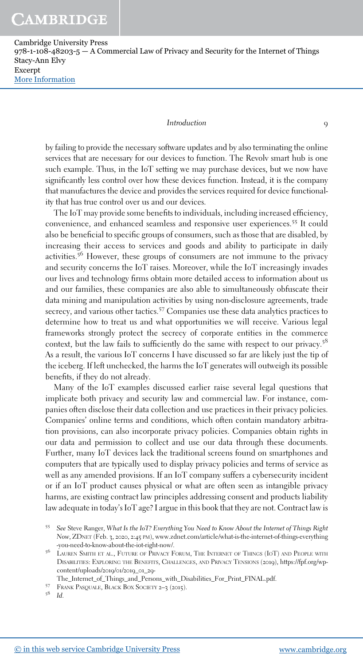#### Introduction 9

by failing to provide the necessary software updates and by also terminating the online services that are necessary for our devices to function. The Revolv smart hub is one such example. Thus, in the IoT setting we may purchase devices, but we now have significantly less control over how these devices function. Instead, it is the company that manufactures the device and provides the services required for device functionality that has true control over us and our devices.

The IoT may provide some benefits to individuals, including increased efficiency, convenience, and enhanced seamless and responsive user experiences.<sup>55</sup> It could also be beneficial to specific groups of consumers, such as those that are disabled, by increasing their access to services and goods and ability to participate in daily activities.<sup>56</sup> However, these groups of consumers are not immune to the privacy and security concerns the IoT raises. Moreover, while the IoT increasingly invades our lives and technology firms obtain more detailed access to information about us and our families, these companies are also able to simultaneously obfuscate their data mining and manipulation activities by using non-disclosure agreements, trade secrecy, and various other tactics.<sup>57</sup> Companies use these data analytics practices to determine how to treat us and what opportunities we will receive. Various legal frameworks strongly protect the secrecy of corporate entities in the commerce context, but the law fails to sufficiently do the same with respect to our privacy.<sup>58</sup> As a result, the various IoT concerns I have discussed so far are likely just the tip of the iceberg. If left unchecked, the harms the IoT generates will outweigh its possible benefits, if they do not already.

Many of the IoT examples discussed earlier raise several legal questions that implicate both privacy and security law and commercial law. For instance, companies often disclose their data collection and use practices in their privacy policies. Companies' online terms and conditions, which often contain mandatory arbitration provisions, can also incorporate privacy policies. Companies obtain rights in our data and permission to collect and use our data through these documents. Further, many IoT devices lack the traditional screens found on smartphones and computers that are typically used to display privacy policies and terms of service as well as any amended provisions. If an IoT company suffers a cybersecurity incident or if an IoT product causes physical or what are often seen as intangible privacy harms, are existing contract law principles addressing consent and products liability law adequate in today's IoT age? I argue in this book that they are not. Contract law is

<sup>58</sup> Id.

<sup>55</sup> See Steve Ranger, What Is the IoT? Everything You Need to Know About the Internet of Things Right Now, ZDNET (Feb. 3, 2020, 2:45 PM), www.zdnet.com/article/what-is-the-internet-of-things-everything -you-need-to-know-about-the-iot-right-now/.

<sup>56</sup> LAUREN SMITH ET AL., FUTURE OF PRIVACY FORUM, THE INTERNET OF THINGS (IOT) AND PEOPLE WITH DISABILITIES: EXPLORING THE BENEFITS, CHALLENGES, AND PRIVACY TENSIONS (2019), https://fpf.org/wpcontent/uploads/2019/01/2019\_01\_29-

The\_Internet\_of\_Things\_and\_Persons\_with\_Disabilities\_For\_Print\_FINAL.pdf.

<sup>57</sup> FRANK PASQUALE, BLACK BOX SOCIETY 2–3 (2015).